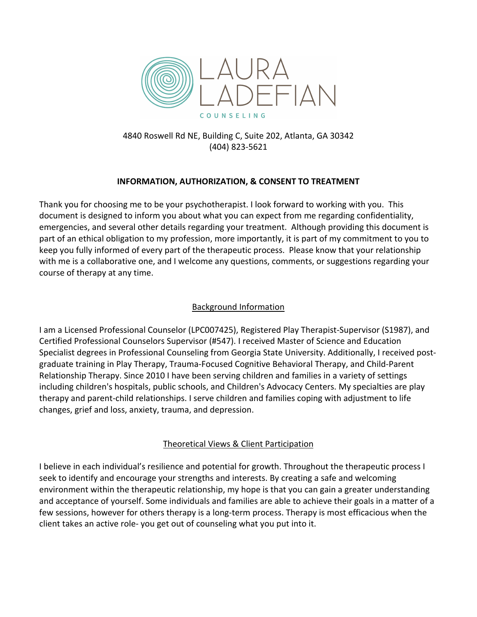

4840 Roswell Rd NE, Building C, Suite 202, Atlanta, GA 30342 (404) 823-5621

### **INFORMATION, AUTHORIZATION, & CONSENT TO TREATMENT**

Thank you for choosing me to be your psychotherapist. I look forward to working with you. This document is designed to inform you about what you can expect from me regarding confidentiality, emergencies, and several other details regarding your treatment. Although providing this document is part of an ethical obligation to my profession, more importantly, it is part of my commitment to you to keep you fully informed of every part of the therapeutic process. Please know that your relationship with me is a collaborative one, and I welcome any questions, comments, or suggestions regarding your course of therapy at any time.

### Background Information

I am a Licensed Professional Counselor (LPC007425), Registered Play Therapist-Supervisor (S1987), and Certified Professional Counselors Supervisor (#547). I received Master of Science and Education Specialist degrees in Professional Counseling from Georgia State University. Additionally, I received postgraduate training in Play Therapy, Trauma-Focused Cognitive Behavioral Therapy, and Child-Parent Relationship Therapy. Since 2010 I have been serving children and families in a variety of settings including children's hospitals, public schools, and Children's Advocacy Centers. My specialties are play therapy and parent-child relationships. I serve children and families coping with adjustment to life changes, grief and loss, anxiety, trauma, and depression.

### Theoretical Views & Client Participation

I believe in each individual's resilience and potential for growth. Throughout the therapeutic process I seek to identify and encourage your strengths and interests. By creating a safe and welcoming environment within the therapeutic relationship, my hope is that you can gain a greater understanding and acceptance of yourself. Some individuals and families are able to achieve their goals in a matter of a few sessions, however for others therapy is a long-term process. Therapy is most efficacious when the client takes an active role- you get out of counseling what you put into it.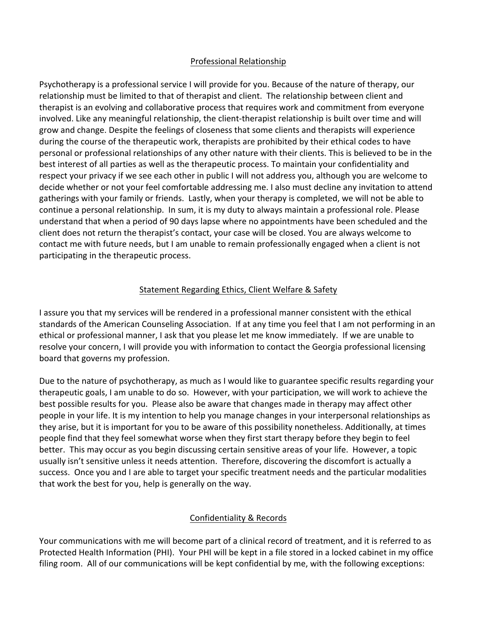#### Professional Relationship

Psychotherapy is a professional service I will provide for you. Because of the nature of therapy, our relationship must be limited to that of therapist and client. The relationship between client and therapist is an evolving and collaborative process that requires work and commitment from everyone involved. Like any meaningful relationship, the client-therapist relationship is built over time and will grow and change. Despite the feelings of closeness that some clients and therapists will experience during the course of the therapeutic work, therapists are prohibited by their ethical codes to have personal or professional relationships of any other nature with their clients. This is believed to be in the best interest of all parties as well as the therapeutic process. To maintain your confidentiality and respect your privacy if we see each other in public I will not address you, although you are welcome to decide whether or not your feel comfortable addressing me. I also must decline any invitation to attend gatherings with your family or friends. Lastly, when your therapy is completed, we will not be able to continue a personal relationship. In sum, it is my duty to always maintain a professional role. Please understand that when a period of 90 days lapse where no appointments have been scheduled and the client does not return the therapist's contact, your case will be closed. You are always welcome to contact me with future needs, but I am unable to remain professionally engaged when a client is not participating in the therapeutic process.

### Statement Regarding Ethics, Client Welfare & Safety

I assure you that my services will be rendered in a professional manner consistent with the ethical standards of the American Counseling Association. If at any time you feel that I am not performing in an ethical or professional manner, I ask that you please let me know immediately. If we are unable to resolve your concern, I will provide you with information to contact the Georgia professional licensing board that governs my profession.

Due to the nature of psychotherapy, as much as I would like to guarantee specific results regarding your therapeutic goals, I am unable to do so. However, with your participation, we will work to achieve the best possible results for you. Please also be aware that changes made in therapy may affect other people in your life. It is my intention to help you manage changes in your interpersonal relationships as they arise, but it is important for you to be aware of this possibility nonetheless. Additionally, at times people find that they feel somewhat worse when they first start therapy before they begin to feel better. This may occur as you begin discussing certain sensitive areas of your life. However, a topic usually isn't sensitive unless it needs attention. Therefore, discovering the discomfort is actually a success. Once you and I are able to target your specific treatment needs and the particular modalities that work the best for you, help is generally on the way.

### Confidentiality & Records

Your communications with me will become part of a clinical record of treatment, and it is referred to as Protected Health Information (PHI). Your PHI will be kept in a file stored in a locked cabinet in my office filing room. All of our communications will be kept confidential by me, with the following exceptions: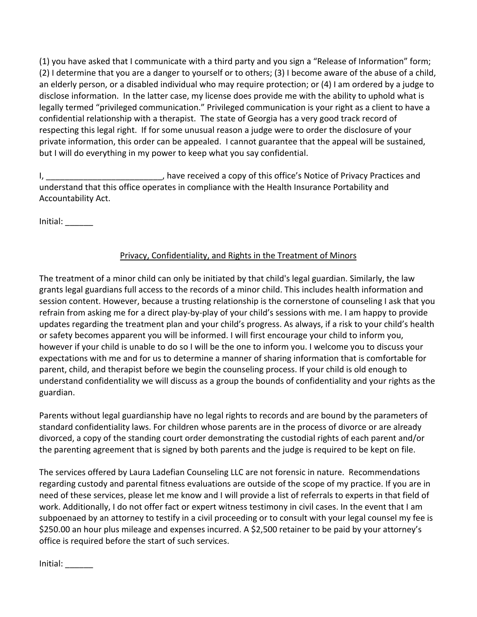(1) you have asked that I communicate with a third party and you sign a "Release of Information" form; (2) I determine that you are a danger to yourself or to others; (3) I become aware of the abuse of a child, an elderly person, or a disabled individual who may require protection; or (4) I am ordered by a judge to disclose information. In the latter case, my license does provide me with the ability to uphold what is legally termed "privileged communication." Privileged communication is your right as a client to have a confidential relationship with a therapist. The state of Georgia has a very good track record of respecting this legal right. If for some unusual reason a judge were to order the disclosure of your private information, this order can be appealed. I cannot guarantee that the appeal will be sustained, but I will do everything in my power to keep what you say confidential.

I, \_\_\_\_\_\_\_\_\_\_\_\_\_\_\_\_\_\_\_\_\_\_\_\_\_\_\_, have received a copy of this office's Notice of Privacy Practices and understand that this office operates in compliance with the Health Insurance Portability and Accountability Act.

 $Initial:$ 

# Privacy, Confidentiality, and Rights in the Treatment of Minors

The treatment of a minor child can only be initiated by that child's legal guardian. Similarly, the law grants legal guardians full access to the records of a minor child. This includes health information and session content. However, because a trusting relationship is the cornerstone of counseling I ask that you refrain from asking me for a direct play-by-play of your child's sessions with me. I am happy to provide updates regarding the treatment plan and your child's progress. As always, if a risk to your child's health or safety becomes apparent you will be informed. I will first encourage your child to inform you, however if your child is unable to do so I will be the one to inform you. I welcome you to discuss your expectations with me and for us to determine a manner of sharing information that is comfortable for parent, child, and therapist before we begin the counseling process. If your child is old enough to understand confidentiality we will discuss as a group the bounds of confidentiality and your rights as the guardian.

Parents without legal guardianship have no legal rights to records and are bound by the parameters of standard confidentiality laws. For children whose parents are in the process of divorce or are already divorced, a copy of the standing court order demonstrating the custodial rights of each parent and/or the parenting agreement that is signed by both parents and the judge is required to be kept on file.

The services offered by Laura Ladefian Counseling LLC are not forensic in nature. Recommendations regarding custody and parental fitness evaluations are outside of the scope of my practice. If you are in need of these services, please let me know and I will provide a list of referrals to experts in that field of work. Additionally, I do not offer fact or expert witness testimony in civil cases. In the event that I am subpoenaed by an attorney to testify in a civil proceeding or to consult with your legal counsel my fee is \$250.00 an hour plus mileage and expenses incurred. A \$2,500 retainer to be paid by your attorney's office is required before the start of such services.

Initial: \_\_\_\_\_\_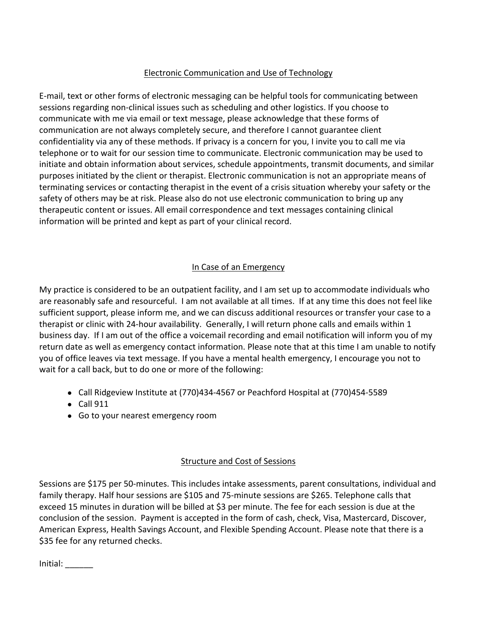## Electronic Communication and Use of Technology

E-mail, text or other forms of electronic messaging can be helpful tools for communicating between sessions regarding non-clinical issues such as scheduling and other logistics. If you choose to communicate with me via email or text message, please acknowledge that these forms of communication are not always completely secure, and therefore I cannot guarantee client confidentiality via any of these methods. If privacy is a concern for you, I invite you to call me via telephone or to wait for our session time to communicate. Electronic communication may be used to initiate and obtain information about services, schedule appointments, transmit documents, and similar purposes initiated by the client or therapist. Electronic communication is not an appropriate means of terminating services or contacting therapist in the event of a crisis situation whereby your safety or the safety of others may be at risk. Please also do not use electronic communication to bring up any therapeutic content or issues. All email correspondence and text messages containing clinical information will be printed and kept as part of your clinical record.

## In Case of an Emergency

My practice is considered to be an outpatient facility, and I am set up to accommodate individuals who are reasonably safe and resourceful. I am not available at all times. If at any time this does not feel like sufficient support, please inform me, and we can discuss additional resources or transfer your case to a therapist or clinic with 24-hour availability. Generally, I will return phone calls and emails within 1 business day. If I am out of the office a voicemail recording and email notification will inform you of my return date as well as emergency contact information. Please note that at this time I am unable to notify you of office leaves via text message. If you have a mental health emergency, I encourage you not to wait for a call back, but to do one or more of the following:

- Call Ridgeview Institute at (770)434-4567 or Peachford Hospital at (770)454-5589
- Call 911
- Go to your nearest emergency room

## Structure and Cost of Sessions

Sessions are \$175 per 50-minutes. This includes intake assessments, parent consultations, individual and family therapy. Half hour sessions are \$105 and 75-minute sessions are \$265. Telephone calls that exceed 15 minutes in duration will be billed at \$3 per minute. The fee for each session is due at the conclusion of the session. Payment is accepted in the form of cash, check, Visa, Mastercard, Discover, American Express, Health Savings Account, and Flexible Spending Account. Please note that there is a \$35 fee for any returned checks.

 $Initial:$